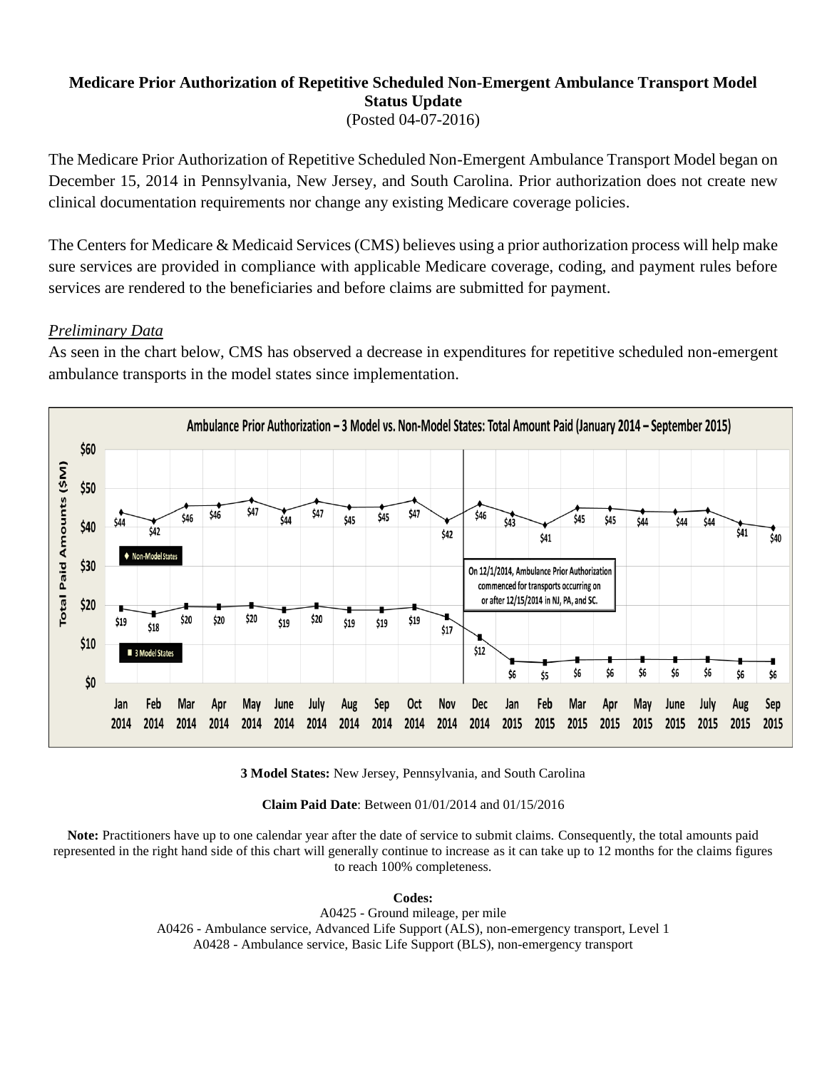## **Medicare Prior Authorization of Repetitive Scheduled Non-Emergent Ambulance Transport Model Status Update** (Posted 04-07-2016)

The Medicare Prior Authorization of Repetitive Scheduled Non-Emergent Ambulance Transport Model began on December 15, 2014 in Pennsylvania, New Jersey, and South Carolina. Prior authorization does not create new clinical documentation requirements nor change any existing Medicare coverage policies.

The Centers for Medicare & Medicaid Services (CMS) believes using a prior authorization process will help make sure services are provided in compliance with applicable Medicare coverage, coding, and payment rules before services are rendered to the beneficiaries and before claims are submitted for payment.

## *Preliminary Data*

As seen in the chart below, CMS has observed a decrease in expenditures for repetitive scheduled non-emergent ambulance transports in the model states since implementation.



**3 Model States:** New Jersey, Pennsylvania, and South Carolina

**Claim Paid Date**: Between 01/01/2014 and 01/15/2016

**Note:** Practitioners have up to one calendar year after the date of service to submit claims. Consequently, the total amounts paid represented in the right hand side of this chart will generally continue to increase as it can take up to 12 months for the claims figures to reach 100% completeness.

**Codes:**

A0425 - Ground mileage, per mile A0426 - Ambulance service, Advanced Life Support (ALS), non-emergency transport, Level 1 A0428 - Ambulance service, Basic Life Support (BLS), non-emergency transport